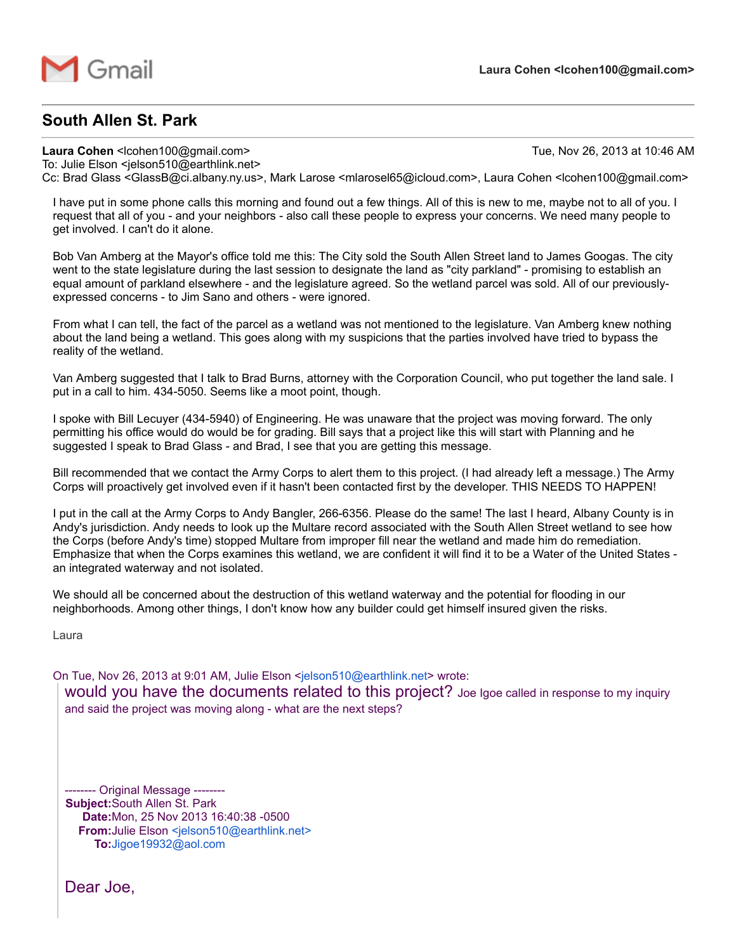

## South Allen St. Park

Laura Cohen <lcohen100@gmail.com> Tue, Nov 26, 2013 at 10:46 AM

To: Julie Elson <jelson510@earthlink.net> Cc: Brad Glass <GlassB@ci.albany.ny.us>, Mark Larose <mlarosel65@icloud.com>, Laura Cohen <lcohen100@gmail.com>

I have put in some phone calls this morning and found out a few things. All of this is new to me, maybe not to all of you. I request that all of you - and your neighbors - also call these people to express your concerns. We need many people to get involved. I can't do it alone.

Bob Van Amberg at the Mayor's office told me this: The City sold the South Allen Street land to James Googas. The city went to the state legislature during the last session to designate the land as "city parkland" - promising to establish an equal amount of parkland elsewhere - and the legislature agreed. So the wetland parcel was sold. All of our previouslyexpressed concerns - to Jim Sano and others - were ignored.

From what I can tell, the fact of the parcel as a wetland was not mentioned to the legislature. Van Amberg knew nothing about the land being a wetland. This goes along with my suspicions that the parties involved have tried to bypass the reality of the wetland.

Van Amberg suggested that I talk to Brad Burns, attorney with the Corporation Council, who put together the land sale. I put in a call to him. 434-5050. Seems like a moot point, though.

I spoke with Bill Lecuyer (4345940) of Engineering. He was unaware that the project was moving forward. The only permitting his office would do would be for grading. Bill says that a project like this will start with Planning and he suggested I speak to Brad Glass - and Brad, I see that you are getting this message.

Bill recommended that we contact the Army Corps to alert them to this project. (I had already left a message.) The Army Corps will proactively get involved even if it hasn't been contacted first by the developer. THIS NEEDS TO HAPPEN!

I put in the call at the Army Corps to Andy Bangler, 266-6356. Please do the same! The last I heard, Albany County is in Andy's jurisdiction. Andy needs to look up the Multare record associated with the South Allen Street wetland to see how the Corps (before Andy's time) stopped Multare from improper fill near the wetland and made him do remediation. Emphasize that when the Corps examines this wetland, we are confident it will find it to be a Water of the United States an integrated waterway and not isolated.

We should all be concerned about the destruction of this wetland waterway and the potential for flooding in our neighborhoods. Among other things, I don't know how any builder could get himself insured given the risks.

Laura

On Tue, Nov 26, 2013 at 9:01 AM, Julie Elson <[jelson510@earthlink.net>](mailto:jelson510@earthlink.net) wrote:

would you have the documents related to this project? Joe Igoe called in response to my inquiry and said the project was moving along - what are the next steps?

------- Original Message --------Subject:South Allen St. Park Date: Mon, 25 Nov 2013 16:40:38 - 0500 From: Julie Elson [<jelson510@earthlink.net>](mailto:jelson510@earthlink.net) To:[Jigoe19932@aol.com](mailto:Jigoe19932@aol.com)

Dear Joe,